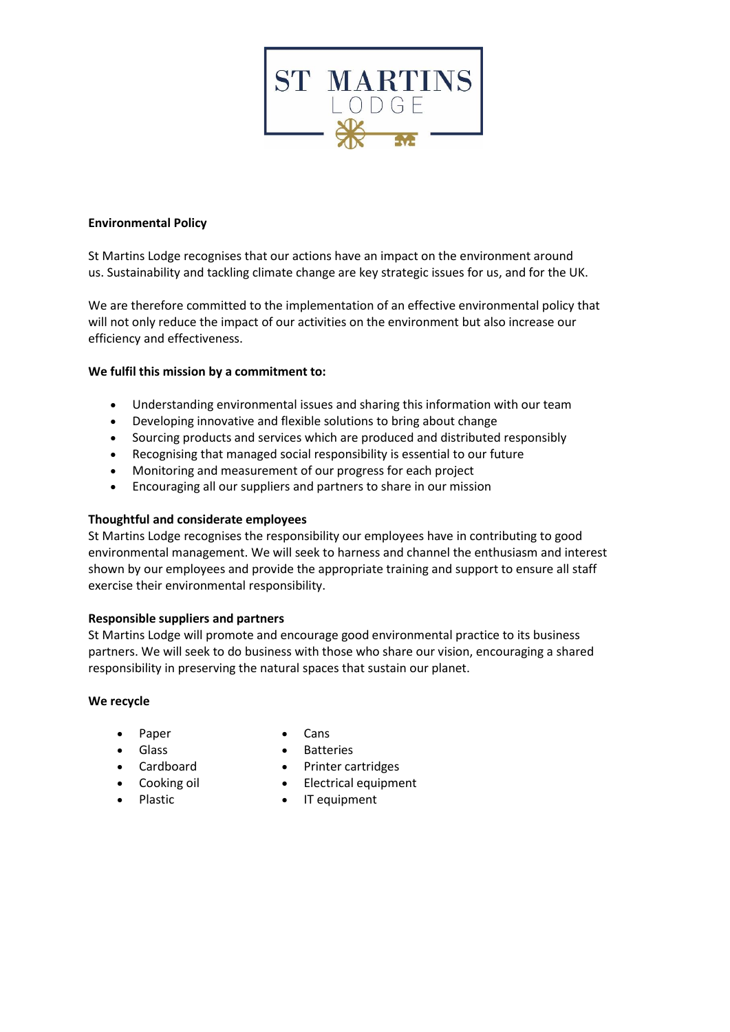

# **Environmental Policy**

St Martins Lodge recognises that our actions have an impact on the environment around us. Sustainability and tackling climate change are key strategic issues for us, and for the UK.

We are therefore committed to the implementation of an effective environmental policy that will not only reduce the impact of our activities on the environment but also increase our efficiency and effectiveness.

## **We fulfil this mission by a commitment to:**

- Understanding environmental issues and sharing this information with our team
- Developing innovative and flexible solutions to bring about change
- Sourcing products and services which are produced and distributed responsibly
- Recognising that managed social responsibility is essential to our future
- Monitoring and measurement of our progress for each project
- Encouraging all our suppliers and partners to share in our mission

## **Thoughtful and considerate employees**

St Martins Lodge recognises the responsibility our employees have in contributing to good environmental management. We will seek to harness and channel the enthusiasm and interest shown by our employees and provide the appropriate training and support to ensure all staff exercise their environmental responsibility.

## **Responsible suppliers and partners**

St Martins Lodge will promote and encourage good environmental practice to its business partners. We will seek to do business with those who share our vision, encouraging a shared responsibility in preserving the natural spaces that sustain our planet.

#### **We recycle**

- Paper
- Cans

- Glass
- Cardboard
- Cooking oil
- Plastic
- 
- Batteries
- Printer cartridges
- Electrical equipment
- IT equipment